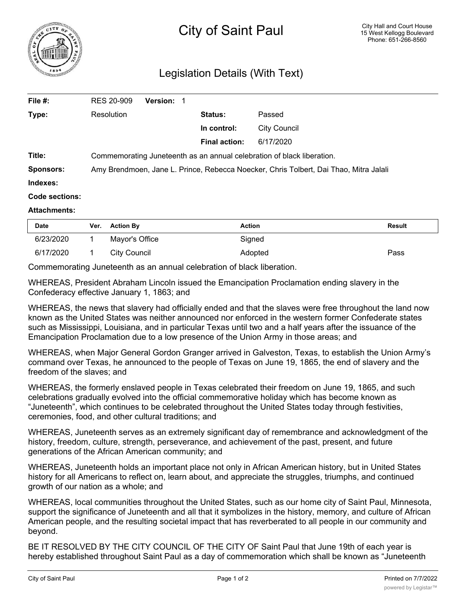

## Legislation Details (With Text)

| File #:               | <b>RES 20-909</b>                                                                     | <b>Version: 1</b> |                      |              |  |
|-----------------------|---------------------------------------------------------------------------------------|-------------------|----------------------|--------------|--|
| Type:                 | Resolution                                                                            |                   | Status:              | Passed       |  |
|                       |                                                                                       |                   | In control:          | City Council |  |
|                       |                                                                                       |                   | <b>Final action:</b> | 6/17/2020    |  |
| Title:                | Commemorating Juneteenth as an annual celebration of black liberation.                |                   |                      |              |  |
| <b>Sponsors:</b>      | Amy Brendmoen, Jane L. Prince, Rebecca Noecker, Chris Tolbert, Dai Thao, Mitra Jalali |                   |                      |              |  |
| Indexes:              |                                                                                       |                   |                      |              |  |
| <b>Code sections:</b> |                                                                                       |                   |                      |              |  |
| <b>Attachments:</b>   |                                                                                       |                   |                      |              |  |

| Date      | Ver. | <b>Action By</b> | <b>Action</b> | Result |
|-----------|------|------------------|---------------|--------|
| 6/23/2020 |      | Mayor's Office   | Sianed        |        |
| 6/17/2020 |      | City Council     | Adopted       | Pass   |

Commemorating Juneteenth as an annual celebration of black liberation.

WHEREAS, President Abraham Lincoln issued the Emancipation Proclamation ending slavery in the Confederacy effective January 1, 1863; and

WHEREAS, the news that slavery had officially ended and that the slaves were free throughout the land now known as the United States was neither announced nor enforced in the western former Confederate states such as Mississippi, Louisiana, and in particular Texas until two and a half years after the issuance of the Emancipation Proclamation due to a low presence of the Union Army in those areas; and

WHEREAS, when Major General Gordon Granger arrived in Galveston, Texas, to establish the Union Army's command over Texas, he announced to the people of Texas on June 19, 1865, the end of slavery and the freedom of the slaves; and

WHEREAS, the formerly enslaved people in Texas celebrated their freedom on June 19, 1865, and such celebrations gradually evolved into the official commemorative holiday which has become known as "Juneteenth", which continues to be celebrated throughout the United States today through festivities, ceremonies, food, and other cultural traditions; and

WHEREAS, Juneteenth serves as an extremely significant day of remembrance and acknowledgment of the history, freedom, culture, strength, perseverance, and achievement of the past, present, and future generations of the African American community; and

WHEREAS, Juneteenth holds an important place not only in African American history, but in United States history for all Americans to reflect on, learn about, and appreciate the struggles, triumphs, and continued growth of our nation as a whole; and

WHEREAS, local communities throughout the United States, such as our home city of Saint Paul, Minnesota, support the significance of Juneteenth and all that it symbolizes in the history, memory, and culture of African American people, and the resulting societal impact that has reverberated to all people in our community and beyond.

BE IT RESOLVED BY THE CITY COUNCIL OF THE CITY OF Saint Paul that June 19th of each year is hereby established throughout Saint Paul as a day of commemoration which shall be known as "Juneteenth